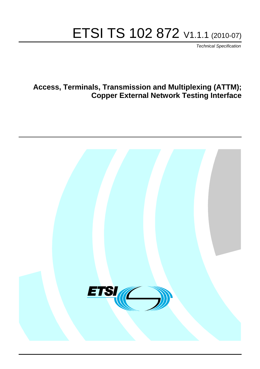# ETSI TS 102 872 V1.1.1 (2010-07)

*Technical Specification*

# **Access, Terminals, Transmission and Multiplexing (ATTM); Copper External Network Testing Interface**

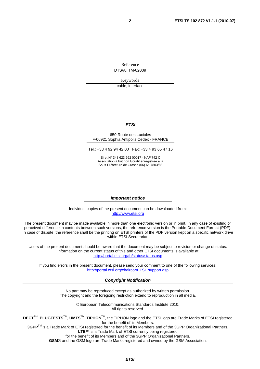Reference DTS/ATTM-02009

Keywords

cable, interface

#### *ETSI*

#### 650 Route des Lucioles F-06921 Sophia Antipolis Cedex - FRANCE

Tel.: +33 4 92 94 42 00 Fax: +33 4 93 65 47 16

Siret N° 348 623 562 00017 - NAF 742 C Association à but non lucratif enregistrée à la Sous-Préfecture de Grasse (06) N° 7803/88

#### *Important notice*

Individual copies of the present document can be downloaded from: [http://www.etsi.org](http://www.etsi.org/)

The present document may be made available in more than one electronic version or in print. In any case of existing or perceived difference in contents between such versions, the reference version is the Portable Document Format (PDF). In case of dispute, the reference shall be the printing on ETSI printers of the PDF version kept on a specific network drive within ETSI Secretariat.

Users of the present document should be aware that the document may be subject to revision or change of status. Information on the current status of this and other ETSI documents is available at <http://portal.etsi.org/tb/status/status.asp>

If you find errors in the present document, please send your comment to one of the following services: [http://portal.etsi.org/chaircor/ETSI\\_support.asp](http://portal.etsi.org/chaircor/ETSI_support.asp)

#### *Copyright Notification*

No part may be reproduced except as authorized by written permission. The copyright and the foregoing restriction extend to reproduction in all media.

> © European Telecommunications Standards Institute 2010. All rights reserved.

**DECT**TM, **PLUGTESTS**TM, **UMTS**TM, **TIPHON**TM, the TIPHON logo and the ETSI logo are Trade Marks of ETSI registered for the benefit of its Members.

**3GPP**TM is a Trade Mark of ETSI registered for the benefit of its Members and of the 3GPP Organizational Partners. **LTE**™ is a Trade Mark of ETSI currently being registered

for the benefit of its Members and of the 3GPP Organizational Partners.

**GSM**® and the GSM logo are Trade Marks registered and owned by the GSM Association.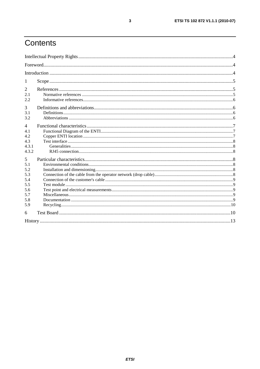# Contents

| 1                     |  |
|-----------------------|--|
| $\overline{2}$<br>2.1 |  |
| 2.2                   |  |
| 3                     |  |
| 3.1<br>3.2            |  |
| $\overline{4}$        |  |
| 4.1<br>4.2            |  |
| 4.3                   |  |
| 4.3.1<br>4.3.2        |  |
| 5                     |  |
| 5.1<br>5.2            |  |
| 5.3                   |  |
| 5.4<br>5.5            |  |
| 5.6                   |  |
| 5.7<br>5.8            |  |
| 5.9                   |  |
| 6                     |  |
|                       |  |

 $\mathbf{3}$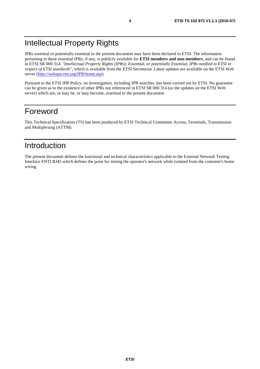# Intellectual Property Rights

IPRs essential or potentially essential to the present document may have been declared to ETSI. The information pertaining to these essential IPRs, if any, is publicly available for **ETSI members and non-members**, and can be found in ETSI SR 000 314: *"Intellectual Property Rights (IPRs); Essential, or potentially Essential, IPRs notified to ETSI in respect of ETSI standards"*, which is available from the ETSI Secretariat. Latest updates are available on the ETSI Web server [\(http://webapp.etsi.org/IPR/home.asp](http://webapp.etsi.org/IPR/home.asp)).

Pursuant to the ETSI IPR Policy, no investigation, including IPR searches, has been carried out by ETSI. No guarantee can be given as to the existence of other IPRs not referenced in ETSI SR 000 314 (or the updates on the ETSI Web server) which are, or may be, or may become, essential to the present document.

# Foreword

This Technical Specification (TS) has been produced by ETSI Technical Committee Access, Terminals, Transmission and Multiplexing (ATTM).

# Introduction

The present document defines the functional and technical characteristics applicable to the External Network Testing Interface ENTI RJ45 which defines the point for testing the operator's network while isolated from the customer's home wiring.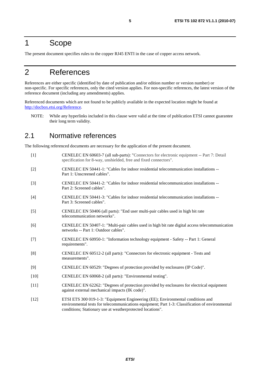# 1 Scope

The present document specifies rules to the copper RJ45 ENTI in the case of copper access network.

# 2 References

References are either specific (identified by date of publication and/or edition number or version number) or non-specific. For specific references, only the cited version applies. For non-specific references, the latest version of the reference document (including any amendments) applies.

Referenced documents which are not found to be publicly available in the expected location might be found at <http://docbox.etsi.org/Reference>.

NOTE: While any hyperlinks included in this clause were valid at the time of publication ETSI cannot guarantee their long term validity.

#### 2.1 Normative references

The following referenced documents are necessary for the application of the present document.

- [1] CENELEC EN 60603-7 (all sub-parts): "Connectors for electronic equipment -- Part 7: Detail specification for 8-way, unshielded, free and fixed connectors".
- [2] CENELEC EN 50441-1: "Cables for indoor residential telecommunication installations -- Part 1: Unscreened cables".
- [3] CENELEC EN 50441-2: "Cables for indoor residential telecommunication installations -- Part 2: Screened cables".
- [4] CENELEC EN 50441-3: "Cables for indoor residential telecommunication installations -- Part 3: Screened cables".
- [5] CENELEC EN 50406 (all parts): "End user multi-pair cables used in high bit rate telecommunication networks".
- [6] CENELEC EN 50407-1: "Multi-pair cables used in high bit rate digital access telecommunication networks -- Part 1: Outdoor cables".
- [7] CENELEC EN 60950-1: "Information technology equipment Safety -- Part 1: General requirements".
- [8] CENELEC EN 60512-2 (all parts): "Connectors for electronic equipment Tests and measurements".
- [9] CENELEC EN 60529: "Degrees of protection provided by enclosures (IP Code)".
- [10] CENELEC EN 60068-2 (all parts): "Environmental testing".
- [11] CENELEC EN 62262: "Degrees of protection provided by enclosures for electrical equipment against external mechanical impacts (IK code)".
- [12] ETSI ETS 300 019-1-3: "Equipment Engineering (EE); Environmental conditions and environmental tests for telecommunications equipment; Part 1-3: Classification of environmental conditions; Stationary use at weatherprotected locations".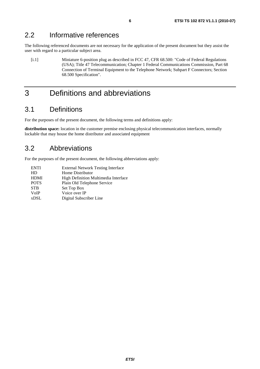### 2.2 Informative references

The following referenced documents are not necessary for the application of the present document but they assist the user with regard to a particular subject area.

[i.1] Miniature 6-position plug as described in FCC 47, CFR 68.500: "Code of Federal Regulations (USA); Title 47 Telecommunication; Chapter 1 Federal Communications Commission, Part 68 Connection of Terminal Equipment to the Telephone Network; Subpart F Connectors; Section 68.500 Specification".

# 3 Definitions and abbreviations

## 3.1 Definitions

For the purposes of the present document, the following terms and definitions apply:

**distribution space:** location in the customer premise enclosing physical telecommunication interfaces, normally lockable that may house the home distributor and associated equipment

## 3.2 Abbreviations

For the purposes of the present document, the following abbreviations apply:

| <b>ENTI</b> | <b>External Network Testing Interface</b> |
|-------------|-------------------------------------------|
| HD          | Home Distributor                          |
| <b>HDMI</b> | High Definition Multimedia Interface      |
| <b>POTS</b> | Plain Old Telephone Service               |
| <b>STB</b>  | Set Top Box                               |
| <b>VoIP</b> | Voice over IP                             |
| <b>xDSL</b> | Digital Subscriber Line                   |
|             |                                           |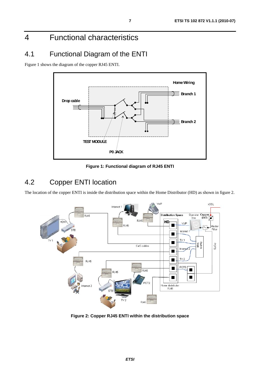# 4 Functional characteristics

# 4.1 Functional Diagram of the ENTI

Figure 1 shows the diagram of the copper RJ45 ENTI.



**Figure 1: Functional diagram of RJ45 ENTI** 

# 4.2 Copper ENTI location

The location of the copper ENTI is inside the distribution space within the Home Distributor (HD) as shown in figure 2.



**Figure 2: Copper RJ45 ENTI within the distribution space**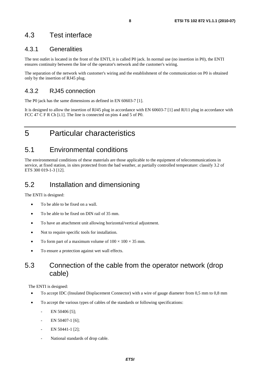### 4.3 Test interface

#### 4.3.1 Generalities

The test outlet is located in the front of the ENTI, it is called P0 jack. In normal use (no insertion in P0), the ENTI ensures continuity between the line of the operator's network and the customer's wiring.

The separation of the network with customer's wiring and the establishment of the communication on P0 is obtained only by the insertion of RJ45 plug.

#### 4.3.2 RJ45 connection

The P0 jack has the same dimensions as defined in EN 60603-7 [1].

It is designed to allow the insertion of RJ45 plug in accordance with EN 60603-7 [1] and RJ11 plug in accordance with FCC 47 C F R Ch [i.1]. The line is connected on pins 4 and 5 of P0.

# 5 Particular characteristics

### 5.1 Environmental conditions

The environmental conditions of these materials are those applicable to the equipment of telecommunications in service, at fixed station, in sites protected from the bad weather, at partially controlled temperature: classify 3.2 of ETS 300 019-1-3 [12].

### 5.2 Installation and dimensioning

The ENTI is designed:

- To be able to be fixed on a wall.
- To be able to be fixed on DIN rail of 35 mm.
- To have an attachment unit allowing horizontal/vertical adjustment.
- Not to require specific tools for installation.
- To form part of a maximum volume of  $100 \times 100 \times 35$  mm.
- To ensure a protection against wet wall effects.

## 5.3 Connection of the cable from the operator network (drop cable)

The ENTI is designed:

- To accept IDC (Insulated Displacement Connector) with a wire of gauge diameter from 0,5 mm to 0,8 mm
- To accept the various types of cables of the standards or following specifications:
	- EN 50406 [5]:
	- EN 50407-1 [6];
	- EN 50441-1 [2];
	- National standards of drop cable.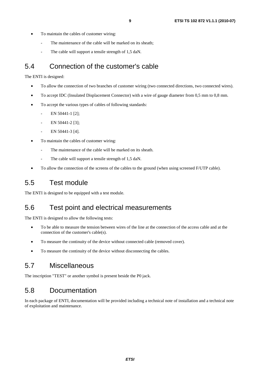- To maintain the cables of customer wiring:
	- The maintenance of the cable will be marked on its sheath;
	- The cable will support a tensile strength of 1,5 daN.

#### 5.4 Connection of the customer's cable

The ENTI is designed:

- To allow the connection of two branches of customer wiring (two connected directions, two connected wires).
- To accept IDC (Insulated Displacement Connector) with a wire of gauge diameter from 0,5 mm to 0,8 mm.
- To accept the various types of cables of following standards:
	- EN 50441-1 [2];
	- EN 50441-2 [3];
	- EN 50441-3 [4].
- To maintain the cables of customer wiring:
	- The maintenance of the cable will be marked on its sheath.
	- The cable will support a tensile strength of 1,5 daN.
- To allow the connection of the screens of the cables to the ground (when using screened F/UTP cable).

# 5.5 Test module

The ENTI is designed to be equipped with a test module.

### 5.6 Test point and electrical measurements

The ENTI is designed to allow the following tests:

- To be able to measure the tension between wires of the line at the connection of the access cable and at the connection of the customer's cable(s).
- To measure the continuity of the device without connected cable (removed cover).
- To measure the continuity of the device without disconnecting the cables.

# 5.7 Miscellaneous

The inscription "TEST" or another symbol is present beside the P0 jack.

# 5.8 Documentation

In each package of ENTI, documentation will be provided including a technical note of installation and a technical note of exploitation and maintenance.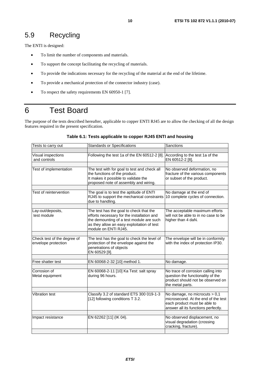# 5.9 Recycling

The ENTI is designed:

- To limit the number of components and materials.
- To support the concept facilitating the recycling of materials.
- To provide the indications necessary for the recycling of the material at the end of the lifetime.
- To provide a mechanical protection of the connector industry (case).
- To respect the safety requirements EN 60950-1 [7].

# 6 Test Board

The purpose of the tests described hereafter, applicable to copper ENTI RJ45 are to allow the checking of all the design features required in the present specification.

| Tests to carry out                                 | <b>Standards or Specifications</b>                                                                                                                                                                      | Sanctions                                                                                                                                   |
|----------------------------------------------------|---------------------------------------------------------------------------------------------------------------------------------------------------------------------------------------------------------|---------------------------------------------------------------------------------------------------------------------------------------------|
|                                                    |                                                                                                                                                                                                         |                                                                                                                                             |
| Visual inspections<br>and controls                 | Following the test 1a of the EN 60512-2 [8].                                                                                                                                                            | According to the test 1a of the<br>EN 60512-2 [8].                                                                                          |
|                                                    |                                                                                                                                                                                                         |                                                                                                                                             |
| Test of implementation                             | The test with for goal to test and check all<br>the functions of the product.<br>It makes it possible to validate the<br>proposed note of assembly and wiring.                                          | No observed deformation, no<br>fracture of the various components<br>or subset of the product.                                              |
|                                                    |                                                                                                                                                                                                         |                                                                                                                                             |
| Test of reintervention                             | The goal is to test the aptitude of ENTI<br>RJ45 to support the mechanical constraints<br>due to handling.                                                                                              | No damage at the end of<br>10 complete cycles of connection.                                                                                |
|                                                    |                                                                                                                                                                                                         |                                                                                                                                             |
| Lay-out/deposits,<br>test module                   | The test has the goal to check that the<br>efforts necessary for the installation and<br>the demounting of a test module are such<br>as they allow an easy exploitation of test<br>module on ENTI RJ45. | The acceptable maximum efforts<br>will not be able to in no case to be<br>higher than 4 daN.                                                |
|                                                    |                                                                                                                                                                                                         |                                                                                                                                             |
| Check test of the degree of<br>envelope protection | The test has the goal to check the level of<br>protection of the envelope against the<br>penetrations of objects<br>EN 60529 [9].                                                                       | The envelope will be in conformity<br>with the index of protection IP30.                                                                    |
|                                                    |                                                                                                                                                                                                         |                                                                                                                                             |
| Free shatter test                                  | EN 60068-2-32 [10] method 1.                                                                                                                                                                            | No damage.                                                                                                                                  |
|                                                    |                                                                                                                                                                                                         |                                                                                                                                             |
| Corrosion of<br>Metal equipment                    | EN 60068-2-11 [10] Ka Test: salt spray<br>during 96 hours.                                                                                                                                              | No trace of corrosion calling into<br>question the functionality of the<br>product should not be observed on<br>the metal parts.            |
|                                                    |                                                                                                                                                                                                         |                                                                                                                                             |
| <b>Vibration test</b>                              | Classify 3.2 of standard ETS 300 019-1-3<br>[12] following conditions T 3.2.                                                                                                                            | No damage, no microcuts > 0,1<br>microsecond. At the end of the test<br>each product must be able to<br>answer all its functions perfectly. |
|                                                    |                                                                                                                                                                                                         |                                                                                                                                             |
| Impact resistance                                  | EN 62262 [11] (IK 04).                                                                                                                                                                                  | No observed displacement, no<br>visual degradation (crossing<br>cracking, fracture).                                                        |
|                                                    |                                                                                                                                                                                                         |                                                                                                                                             |

#### **Table 6.1: Tests applicable to copper RJ45 ENTI and housing**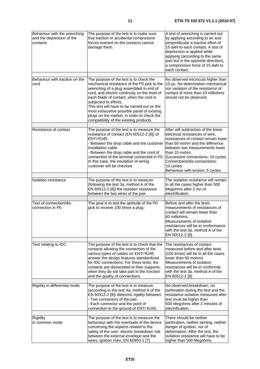| Behaviour with the wrenching<br>and the depression of the<br>contacts | The purpose of the test is to make sure<br>that traction or accidental compressive<br>forces exerted on the contacts cannot<br>damage them.                                                                                                                                                                                                                                                                                                   | A test of wrenching is carried out<br>by applying according to an axis<br>perpendicular a tractive effort of<br>15 daN to each contact. A test of<br>depression is applied while<br>applying (according to the same<br>axis but in the opposite direction),<br>a compressive force of 15 daN to<br>each contact. |
|-----------------------------------------------------------------------|-----------------------------------------------------------------------------------------------------------------------------------------------------------------------------------------------------------------------------------------------------------------------------------------------------------------------------------------------------------------------------------------------------------------------------------------------|------------------------------------------------------------------------------------------------------------------------------------------------------------------------------------------------------------------------------------------------------------------------------------------------------------------|
| Behaviour with traction on the<br>cord                                | The purpose of the test is to check the<br>mechanical resistance of the P0 jack to the<br>wrenching of a plug assembled in end of<br>cord, and electric continuity on the level of<br>each blade of contact, when the cord is<br>subjected to efforts.<br>This test will have to be carried out on the<br>most exhaustive possible panel of existing<br>plugs on the market, in order to check the<br>compatibility of the existing products. | No observed microcuts higher than<br>10 µs. No deterioration mechanical<br>nor variation of the resistance of<br>contact of more than 10 milliohms<br>should not be observed.                                                                                                                                    |
| Resistance of contact                                                 | The purpose of the test is to measure the                                                                                                                                                                                                                                                                                                                                                                                                     | After will subtraction of the linear                                                                                                                                                                                                                                                                             |
|                                                                       | resistance of contact (EN 60512-2 [8]) of<br>ENTI RJ45:<br>- Between the drop cable and the customer<br>installation cable<br>- Between the drop cable and the cord of<br>connection of the terminal connected in P0.<br>In this case, the insulation of wiring<br>customer will be checked.                                                                                                                                                  | electrical resistances of wire,<br>resistances of contact remain lower<br>than 60 mohm and the difference<br>between two measurements lower<br>than 10 mohm.<br>Successive connections: 10 cycles<br>Connections/dis-connections:<br>10 cycles.<br>Behaviour with torsion: 5 cycles.                             |
| <b>Isolation resistance</b>                                           | The purpose of the test is to measure                                                                                                                                                                                                                                                                                                                                                                                                         | The isolation resistance will remain                                                                                                                                                                                                                                                                             |
|                                                                       | (following the test 3a, method A of the<br>EN 60512-2 [8]) the isolation resistance<br>between the two wires of the pair.                                                                                                                                                                                                                                                                                                                     | in all the cases higher than 500<br>Megohms after 2 mn of<br>electrification.                                                                                                                                                                                                                                    |
| Test of connection/dis-<br>connection in P0                           | The goal is to test the aptitude of the P0<br>jack to receive 100 times a plug.                                                                                                                                                                                                                                                                                                                                                               | Before and after the tests<br>measurements of resistances of<br>contact will remain lower than<br>60 milliohms,<br>Measurements of isolation<br>resistances will be in conformance<br>with the test 3a, method A of the<br>EN 60512-2 [8].                                                                       |
| Test relating to IDC                                                  | The purpose of the test is to check that the                                                                                                                                                                                                                                                                                                                                                                                                  | The resistances of contact                                                                                                                                                                                                                                                                                       |
|                                                                       | contacts allowing the connection of the<br>various types of cables on ENTI RJ45<br>answer the design features standardized<br>for IDC connections. For these tests, the<br>contacts are dissociated to their supports,<br>when they do not take part in the function<br>and the quality of connections.                                                                                                                                       | measured before and after tests<br>(100 times) will be in all the cases<br>lower than 60 mohms<br>Measurements of isolation<br>resistances will be in conformity<br>with the test 3a, method A of the<br>EN 60512-2 [8].                                                                                         |
| Rigidity in differential mode                                         | The purpose of the test is to measure                                                                                                                                                                                                                                                                                                                                                                                                         | No observed breakdown, no                                                                                                                                                                                                                                                                                        |
|                                                                       | (according to the test 4a, method A of the<br>EN 60512-2 [8]) dielectric rigidity between:<br>- Two connectors of the pair.<br>- Each connector and the point of<br>connection to the ground of ENTI RJ45.                                                                                                                                                                                                                                    | perforation during the test and the<br>resistance isolation measured after<br>test must be higher than<br>500 Megohms after 2 minutes of<br>electrification.                                                                                                                                                     |
| Rigidity                                                              | The purpose of the test is to measure the                                                                                                                                                                                                                                                                                                                                                                                                     | There should be neither                                                                                                                                                                                                                                                                                          |
| in common mode                                                        | behaviour with the overloads of the device<br>concerning the aspects related to the<br>safety of the user: electric breakdown risk<br>between the external envelope and the<br>wires, ignition risks: EN 60950-1 [7].                                                                                                                                                                                                                         | perforation, neither skirting, neither<br>danger of ignition, nor of<br>deformation. After the test, the<br>isolation resistance will have to be<br>higher than 500 Megohms.                                                                                                                                     |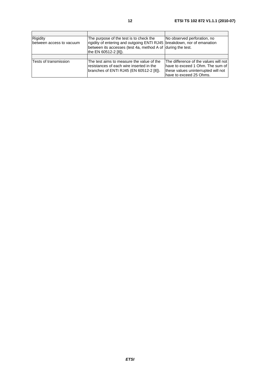| Rigidity<br>between access to vacuum | The purpose of the test is to check the<br>rigidity of entering and outgoing ENTI RJ45   breakdown, nor of emanation<br>between its accesses (test 4a, method A of during the test.<br>the EN 60512-2 [8]). | No observed perforation, no                                                                                                                   |
|--------------------------------------|-------------------------------------------------------------------------------------------------------------------------------------------------------------------------------------------------------------|-----------------------------------------------------------------------------------------------------------------------------------------------|
|                                      |                                                                                                                                                                                                             |                                                                                                                                               |
| Tests of transmission                | The test aims to measure the value of the<br>resistances of each wire inserted in the<br>branches of ENTI RJ45 (EN 60512-2 [8]).                                                                            | The difference of the values will not<br>lhave to exceed 1 Ohm. The sum of<br>these values uninterrupted will not<br>lhave to exceed 25 Ohms. |